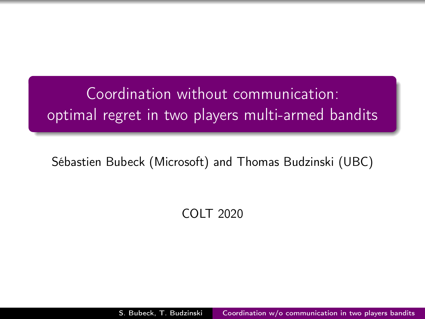<span id="page-0-0"></span>Coordination without communication: optimal regret in two players multi-armed bandits

Sébastien Bubeck (Microsoft) and Thomas Budzinski (UBC)

COLT 2020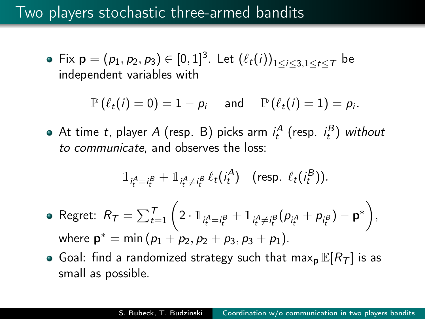#### Two players stochastic three-armed bandits

Fix  $\mathsf{p}=(\rho_1,\rho_2,\rho_3)\in [0,1]^3$ . Let  $\left(\ell_t(i)\right)_{1\leq i\leq 3,1\leq t\leq 7}$  be independent variables with

$$
\mathbb{P}\left(\ell_t(i)=0\right)=1-p_i\quad\text{ and }\quad \mathbb{P}\left(\ell_t(i)=1\right)=p_i.
$$

At time t, player A (resp. B) picks arm  $i_t^A$  (resp.  $i_t^B$ ) without to communicate, and observes the loss:

$$
\mathbb{1}_{i_t^A=i_t^B}+\mathbb{1}_{i_t^A\neq i_t^B}\ell_t(i_t^A)
$$
 (resp.  $\ell_t(i_t^B)$ ).

• Regret: 
$$
R_T = \sum_{t=1}^T \left( 2 \cdot 1_{i_t^A = i_t^B} + 1_{i_t^A \neq i_t^B} (p_{i_t^A} + p_{i_t^B}) - \mathbf{p}^* \right),
$$
  
where  $\mathbf{p}^* = \min (p_1 + p_2, p_2 + p_3, p_3 + p_1).$ 

• Goal: find a randomized strategy such that max<sub>p</sub>  $\mathbb{E}[R_T]$  is as small as possible.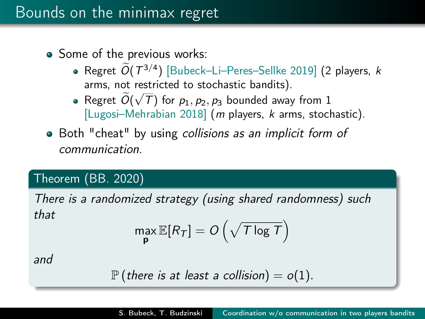- Some of the previous works:
	- Regret  $O(T^{3/4})$  [Bubeck–Li–Peres–Sellke 2019] (2 players, k arms, not restricted to stochastic bandits). √
	- Regret *O*( T) for  $p_1, p_2, p_3$  bounded away from 1 [Lugosi–Mehrabian 2018] (m players, k arms, stochastic).
- Both "cheat" by using collisions as an implicit form of communication.

#### Theorem (BB. 2020)

There is a randomized strategy (using shared randomness) such that

$$
\max_{\mathbf{p}} \mathbb{E}[R_{\mathcal{T}}] = O\left(\sqrt{\mathcal{T}\log \mathcal{T}}\right)
$$

and

$$
\mathbb{P}\left(\text{there is at least a collision}\right) = o(1).
$$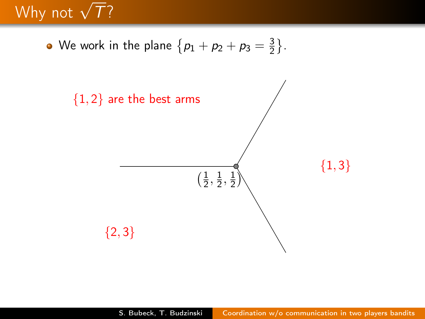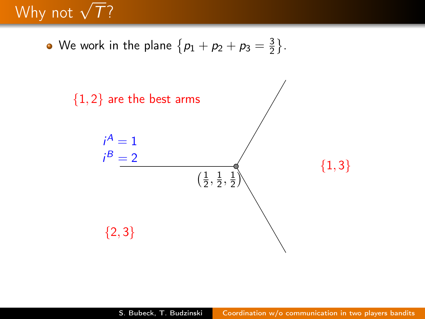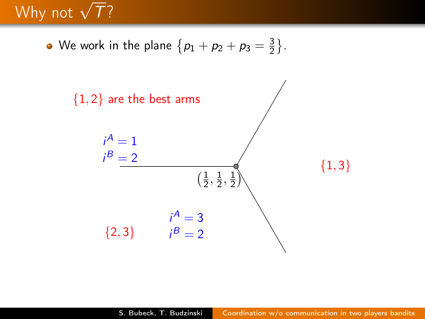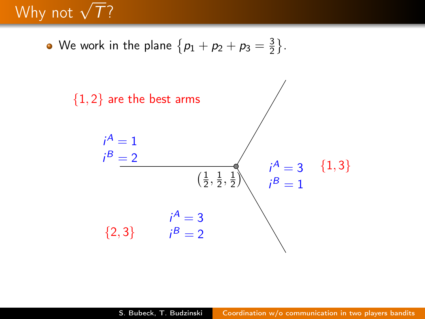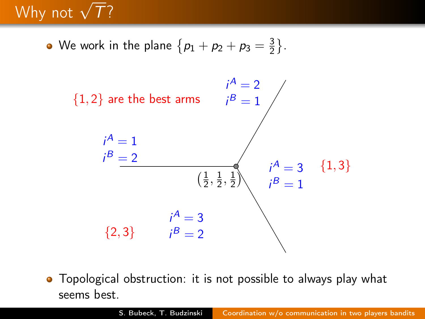We work in the plane  $\left\{ \rho_{1}+\rho_{2}+\rho_{3}=\frac{3}{2}\right\}$  $\frac{3}{2}$ .



• Topological obstruction: it is not possible to always play what seems best.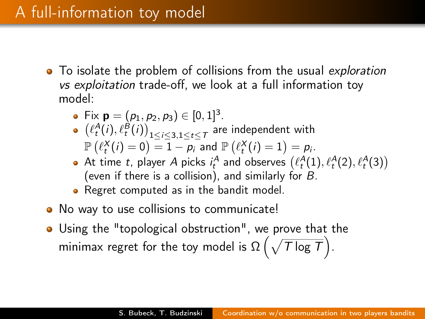#### A full-information toy model

- To isolate the problem of collisions from the usual exploration vs exploitation trade-off, we look at a full information toy model:
	- Fix  $\mathbf{p} = (p_1, p_2, p_3) \in [0, 1]^3$ .
	- $\left(\ell_t^A(i), \ell_t^B(i)\right)_{1\leq i\leq 3, 1\leq t\leq T}$  are independent with  $\mathbb{P}\left(\ell_{t}^{X}(i)=0\right)=\overline{1-p_{i}}$  and  $\mathbb{P}\left(\ell_{t}^{X}(i)=1\right)=p_{i}.$
	- At time t, player A picks  $i_t^A$  and observes  $(\ell_t^A(1), \ell_t^A(2), \ell_t^A(3))$ (even if there is a collision), and similarly for B.
	- **•** Regret computed as in the bandit model.
- No way to use collisions to communicate!
- Using the "topological obstruction", we prove that the minimax regret for the toy model is  $\Omega\left(\sqrt{\tau\log\tau}\right)$ .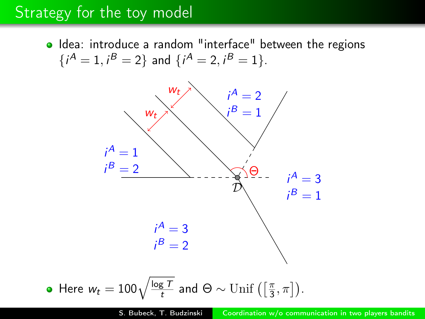#### Strategy for the toy model

o Idea: introduce a random "interface" between the regions  $\{i^A = 1, i^B = 2\}$  and  $\{i^A = 2, i^B = 1\}$ .



• Here 
$$
w_t = 100 \sqrt{\frac{\log T}{t}}
$$
 and  $\Theta \sim \text{Unif}\left(\left[\frac{\pi}{3}, \pi\right]\right)$ .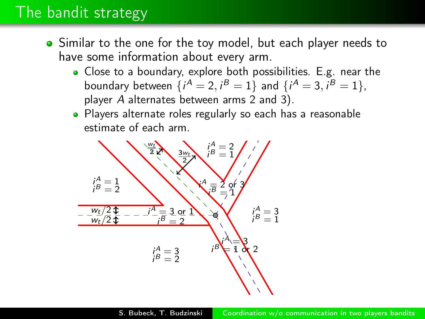#### The bandit strategy

- Similar to the one for the toy model, but each player needs to have some information about every arm.
	- Close to a boundary, explore both possibilities. E.g. near the boundary between  $\{i^{A} = 2, i^{B} = 1\}$  and  $\{i^{A} = 3, i^{B} = 1\}$ , player A alternates between arms 2 and 3).
	- Players alternate roles regularly so each has a reasonable estimate of each arm.

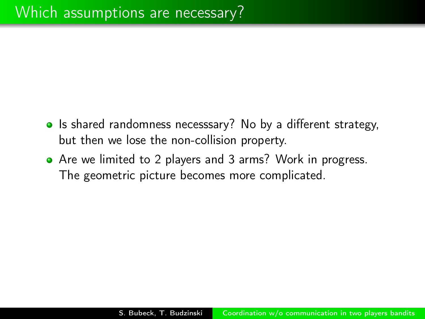- Is shared randomness necesssary? No by a different strategy, but then we lose the non-collision property.
- Are we limited to 2 players and 3 arms? Work in progress. The geometric picture becomes more complicated.